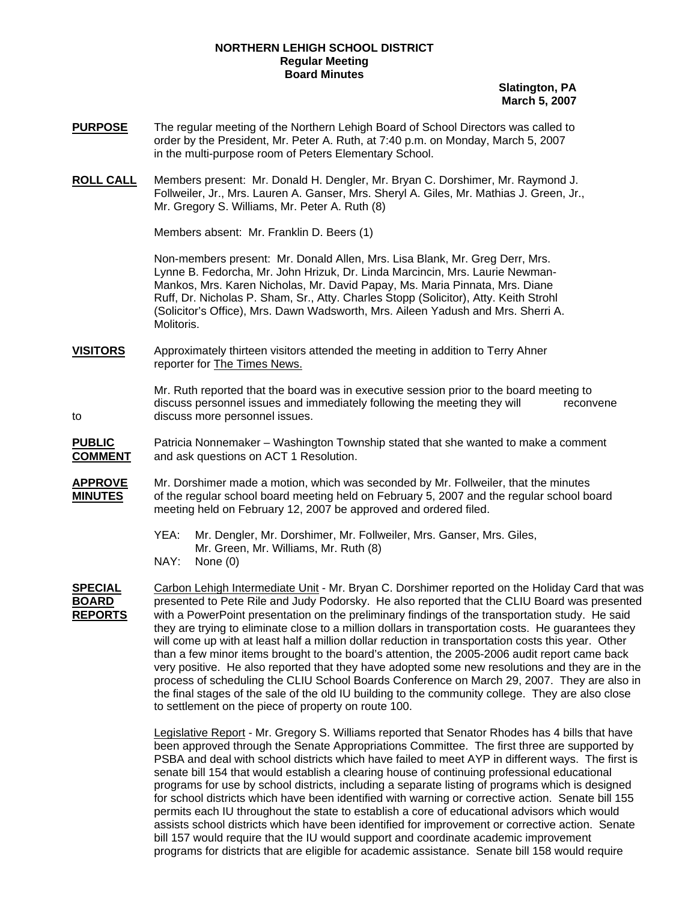## **NORTHERN LEHIGH SCHOOL DISTRICT Regular Meeting Board Minutes**

**Slatington, PA March 5, 2007**

- **PURPOSE** The regular meeting of the Northern Lehigh Board of School Directors was called to order by the President, Mr. Peter A. Ruth, at 7:40 p.m. on Monday, March 5, 2007 in the multi-purpose room of Peters Elementary School.
- **ROLL CALL** Members present: Mr. Donald H. Dengler, Mr. Bryan C. Dorshimer, Mr. Raymond J. Follweiler, Jr., Mrs. Lauren A. Ganser, Mrs. Sheryl A. Giles, Mr. Mathias J. Green, Jr., Mr. Gregory S. Williams, Mr. Peter A. Ruth (8)

Members absent: Mr. Franklin D. Beers (1)

Non-members present: Mr. Donald Allen, Mrs. Lisa Blank, Mr. Greg Derr, Mrs. Lynne B. Fedorcha, Mr. John Hrizuk, Dr. Linda Marcincin, Mrs. Laurie Newman-Mankos, Mrs. Karen Nicholas, Mr. David Papay, Ms. Maria Pinnata, Mrs. Diane Ruff, Dr. Nicholas P. Sham, Sr., Atty. Charles Stopp (Solicitor), Atty. Keith Strohl (Solicitor's Office), Mrs. Dawn Wadsworth, Mrs. Aileen Yadush and Mrs. Sherri A. Molitoris.

**VISITORS** Approximately thirteen visitors attended the meeting in addition to Terry Ahner reporter for The Times News.

Mr. Ruth reported that the board was in executive session prior to the board meeting to discuss personnel issues and immediately following the meeting they will reconvene to discuss more personnel issues.

**PUBLIC** Patricia Nonnemaker – Washington Township stated that she wanted to make a comment **COMMENT** and ask questions on ACT 1 Resolution.

- **APPROVE** Mr. Dorshimer made a motion, which was seconded by Mr. Follweiler, that the minutes **MINUTES** of the regular school board meeting held on February 5, 2007 and the regular school board meeting held on February 12, 2007 be approved and ordered filed.
	- YEA: Mr. Dengler, Mr. Dorshimer, Mr. Follweiler, Mrs. Ganser, Mrs. Giles, Mr. Green, Mr. Williams, Mr. Ruth (8)
	- NAY: None (0)

**SPECIAL** Carbon Lehigh Intermediate Unit - Mr. Bryan C. Dorshimer reported on the Holiday Card that was **BOARD** presented to Pete Rile and Judy Podorsky. He also reported that the CLIU Board was presented **REPORTS** with a PowerPoint presentation on the preliminary findings of the transportation study. He said they are trying to eliminate close to a million dollars in transportation costs. He guarantees they will come up with at least half a million dollar reduction in transportation costs this year. Other than a few minor items brought to the board's attention, the 2005-2006 audit report came back very positive. He also reported that they have adopted some new resolutions and they are in the process of scheduling the CLIU School Boards Conference on March 29, 2007. They are also in the final stages of the sale of the old IU building to the community college. They are also close to settlement on the piece of property on route 100.

> Legislative Report - Mr. Gregory S. Williams reported that Senator Rhodes has 4 bills that have been approved through the Senate Appropriations Committee. The first three are supported by PSBA and deal with school districts which have failed to meet AYP in different ways. The first is senate bill 154 that would establish a clearing house of continuing professional educational programs for use by school districts, including a separate listing of programs which is designed for school districts which have been identified with warning or corrective action. Senate bill 155 permits each IU throughout the state to establish a core of educational advisors which would assists school districts which have been identified for improvement or corrective action. Senate bill 157 would require that the IU would support and coordinate academic improvement programs for districts that are eligible for academic assistance. Senate bill 158 would require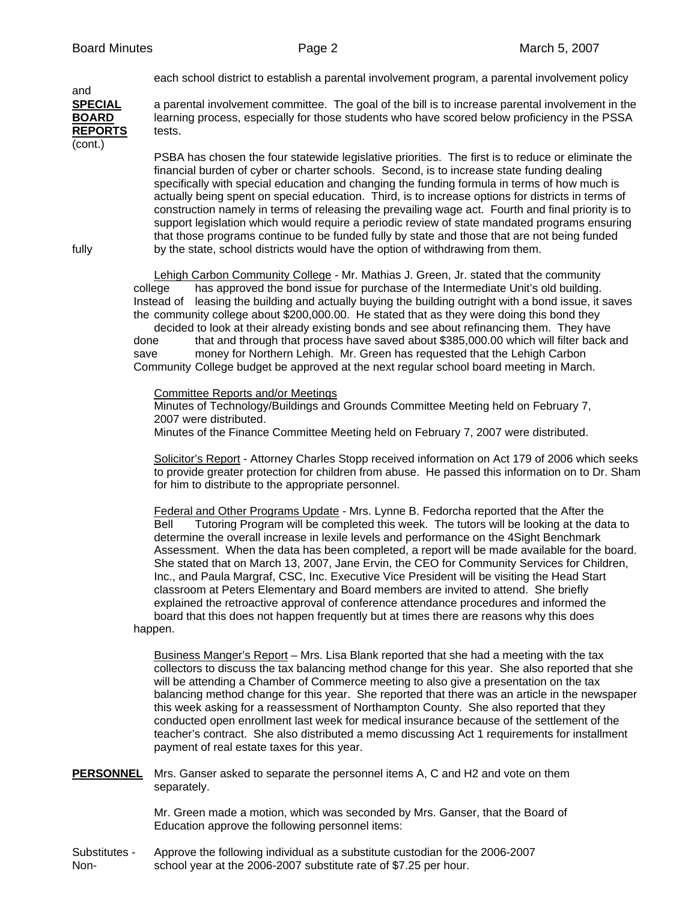each school district to establish a parental involvement program, a parental involvement policy

**SPECIAL** a parental involvement committee. The goal of the bill is to increase parental involvement in the **BOARD** learning process, especially for those students who have scored below proficiency in the PSSA **REPORTS** tests. (cont.)

PSBA has chosen the four statewide legislative priorities. The first is to reduce or eliminate the financial burden of cyber or charter schools. Second, is to increase state funding dealing specifically with special education and changing the funding formula in terms of how much is actually being spent on special education. Third, is to increase options for districts in terms of construction namely in terms of releasing the prevailing wage act. Fourth and final priority is to support legislation which would require a periodic review of state mandated programs ensuring that those programs continue to be funded fully by state and those that are not being funded fully by the state, school districts would have the option of withdrawing from them.

and

Lehigh Carbon Community College - Mr. Mathias J. Green, Jr. stated that the community college has approved the bond issue for purchase of the Intermediate Unit's old building. Instead of leasing the building and actually buying the building outright with a bond issue, it saves the community college about \$200,000.00. He stated that as they were doing this bond they

 decided to look at their already existing bonds and see about refinancing them. They have done that and through that process have saved about \$385,000.00 which will filter back and save money for Northern Lehigh. Mr. Green has requested that the Lehigh Carbon Community College budget be approved at the next regular school board meeting in March.

## Committee Reports and/or Meetings

Minutes of Technology/Buildings and Grounds Committee Meeting held on February 7, 2007 were distributed.

Minutes of the Finance Committee Meeting held on February 7, 2007 were distributed.

Solicitor's Report - Attorney Charles Stopp received information on Act 179 of 2006 which seeks to provide greater protection for children from abuse. He passed this information on to Dr. Sham for him to distribute to the appropriate personnel.

Federal and Other Programs Update - Mrs. Lynne B. Fedorcha reported that the After the Bell Tutoring Program will be completed this week. The tutors will be looking at the data to determine the overall increase in lexile levels and performance on the 4Sight Benchmark Assessment. When the data has been completed, a report will be made available for the board. She stated that on March 13, 2007, Jane Ervin, the CEO for Community Services for Children, Inc., and Paula Margraf, CSC, Inc. Executive Vice President will be visiting the Head Start classroom at Peters Elementary and Board members are invited to attend. She briefly explained the retroactive approval of conference attendance procedures and informed the board that this does not happen frequently but at times there are reasons why this does happen.

Business Manger's Report – Mrs. Lisa Blank reported that she had a meeting with the tax collectors to discuss the tax balancing method change for this year. She also reported that she will be attending a Chamber of Commerce meeting to also give a presentation on the tax balancing method change for this year. She reported that there was an article in the newspaper this week asking for a reassessment of Northampton County. She also reported that they conducted open enrollment last week for medical insurance because of the settlement of the teacher's contract. She also distributed a memo discussing Act 1 requirements for installment payment of real estate taxes for this year.

**PERSONNEL** Mrs. Ganser asked to separate the personnel items A, C and H2 and vote on them separately.

> Mr. Green made a motion, which was seconded by Mrs. Ganser, that the Board of Education approve the following personnel items:

Substitutes - Approve the following individual as a substitute custodian for the 2006-2007 Non- school year at the 2006-2007 substitute rate of \$7.25 per hour.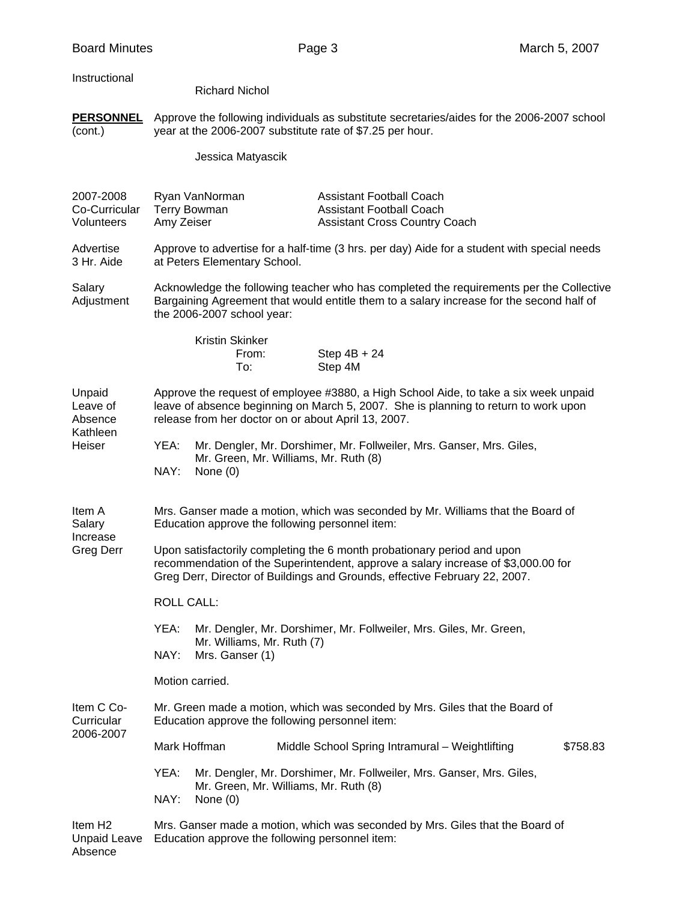## Instructional

| <b>Richard Nichol</b> |  |
|-----------------------|--|
|-----------------------|--|

**PERSONNEL** Approve the following individuals as substitute secretaries/aides for the 2006-2007 school (cont.) year at the 2006-2007 substitute rate of \$7.25 per hour.

Jessica Matyascik

| 2007-2008<br>Co-Curricular<br>Volunteers         | Ryan VanNorman<br><b>Terry Bowman</b><br>Amy Zeiser                                                                                                                                                                                        |                                       | <b>Assistant Football Coach</b><br><b>Assistant Football Coach</b><br><b>Assistant Cross Country Coach</b>                                                                          |          |
|--------------------------------------------------|--------------------------------------------------------------------------------------------------------------------------------------------------------------------------------------------------------------------------------------------|---------------------------------------|-------------------------------------------------------------------------------------------------------------------------------------------------------------------------------------|----------|
| Advertise<br>3 Hr. Aide                          | Approve to advertise for a half-time (3 hrs. per day) Aide for a student with special needs<br>at Peters Elementary School.                                                                                                                |                                       |                                                                                                                                                                                     |          |
| Salary<br>Adjustment                             | the 2006-2007 school year:                                                                                                                                                                                                                 |                                       | Acknowledge the following teacher who has completed the requirements per the Collective<br>Bargaining Agreement that would entitle them to a salary increase for the second half of |          |
|                                                  | <b>Kristin Skinker</b><br>From:<br>To:                                                                                                                                                                                                     | Step 4M                               | Step $4B + 24$                                                                                                                                                                      |          |
| Unpaid<br>Leave of<br>Absence                    | Approve the request of employee #3880, a High School Aide, to take a six week unpaid<br>leave of absence beginning on March 5, 2007. She is planning to return to work upon<br>release from her doctor on or about April 13, 2007.         |                                       |                                                                                                                                                                                     |          |
| Kathleen<br>Heiser                               | YEA:<br>NAY:<br>None $(0)$                                                                                                                                                                                                                 | Mr. Green, Mr. Williams, Mr. Ruth (8) | Mr. Dengler, Mr. Dorshimer, Mr. Follweiler, Mrs. Ganser, Mrs. Giles,                                                                                                                |          |
| Item A<br>Salary<br>Increase<br><b>Greg Derr</b> | Mrs. Ganser made a motion, which was seconded by Mr. Williams that the Board of<br>Education approve the following personnel item:                                                                                                         |                                       |                                                                                                                                                                                     |          |
|                                                  | Upon satisfactorily completing the 6 month probationary period and upon<br>recommendation of the Superintendent, approve a salary increase of \$3,000.00 for<br>Greg Derr, Director of Buildings and Grounds, effective February 22, 2007. |                                       |                                                                                                                                                                                     |          |
|                                                  | <b>ROLL CALL:</b>                                                                                                                                                                                                                          |                                       |                                                                                                                                                                                     |          |
|                                                  | YEA:<br>Mr. Williams, Mr. Ruth (7)                                                                                                                                                                                                         |                                       | Mr. Dengler, Mr. Dorshimer, Mr. Follweiler, Mrs. Giles, Mr. Green,                                                                                                                  |          |
|                                                  | NAY:<br>Mrs. Ganser (1)                                                                                                                                                                                                                    |                                       |                                                                                                                                                                                     |          |
|                                                  | Motion carried.                                                                                                                                                                                                                            |                                       |                                                                                                                                                                                     |          |
| Item C Co-<br>Curricular<br>2006-2007            | Education approve the following personnel item:                                                                                                                                                                                            |                                       | Mr. Green made a motion, which was seconded by Mrs. Giles that the Board of                                                                                                         |          |
|                                                  | Mark Hoffman                                                                                                                                                                                                                               |                                       | Middle School Spring Intramural - Weightlifting                                                                                                                                     | \$758.83 |
|                                                  | YEA:<br>NAY:<br>None $(0)$                                                                                                                                                                                                                 | Mr. Green, Mr. Williams, Mr. Ruth (8) | Mr. Dengler, Mr. Dorshimer, Mr. Follweiler, Mrs. Ganser, Mrs. Giles,                                                                                                                |          |
| Item H <sub>2</sub><br><b>Unpaid Leave</b>       | Mrs. Ganser made a motion, which was seconded by Mrs. Giles that the Board of<br>Education approve the following personnel item:                                                                                                           |                                       |                                                                                                                                                                                     |          |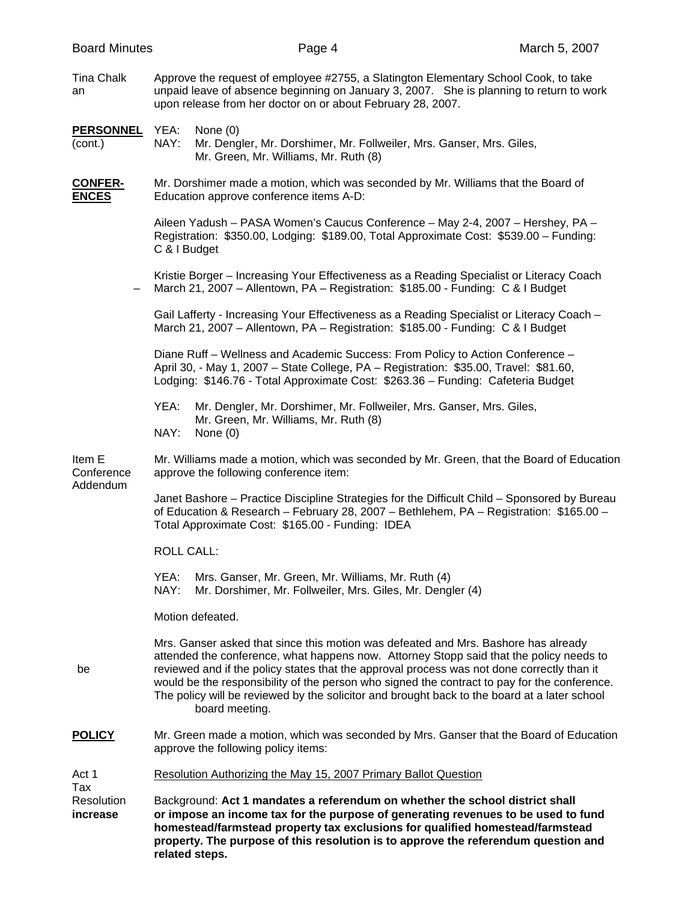| <b>Board Minutes</b>           | Page 4                                                                                                                                                                                                                                                                                                                                                                                                                                                                                        | March 5, 2007 |
|--------------------------------|-----------------------------------------------------------------------------------------------------------------------------------------------------------------------------------------------------------------------------------------------------------------------------------------------------------------------------------------------------------------------------------------------------------------------------------------------------------------------------------------------|---------------|
| Tina Chalk<br>an               | Approve the request of employee #2755, a Slatington Elementary School Cook, to take<br>unpaid leave of absence beginning on January 3, 2007. She is planning to return to work<br>upon release from her doctor on or about February 28, 2007.                                                                                                                                                                                                                                                 |               |
| <u>PERSONNEL</u><br>(cont.)    | YEA:<br>None $(0)$<br>NAY:<br>Mr. Dengler, Mr. Dorshimer, Mr. Follweiler, Mrs. Ganser, Mrs. Giles,<br>Mr. Green, Mr. Williams, Mr. Ruth (8)                                                                                                                                                                                                                                                                                                                                                   |               |
| <u>CONFER-</u><br><b>ENCES</b> | Mr. Dorshimer made a motion, which was seconded by Mr. Williams that the Board of<br>Education approve conference items A-D:                                                                                                                                                                                                                                                                                                                                                                  |               |
|                                | Aileen Yadush - PASA Women's Caucus Conference - May 2-4, 2007 - Hershey, PA -<br>Registration: \$350.00, Lodging: \$189.00, Total Approximate Cost: \$539.00 - Funding:<br>C & I Budget                                                                                                                                                                                                                                                                                                      |               |
|                                | Kristie Borger - Increasing Your Effectiveness as a Reading Specialist or Literacy Coach<br>March 21, 2007 - Allentown, PA - Registration: \$185.00 - Funding: C & I Budget                                                                                                                                                                                                                                                                                                                   |               |
|                                | Gail Lafferty - Increasing Your Effectiveness as a Reading Specialist or Literacy Coach -<br>March 21, 2007 - Allentown, PA - Registration: \$185.00 - Funding: C & I Budget                                                                                                                                                                                                                                                                                                                  |               |
|                                | Diane Ruff - Wellness and Academic Success: From Policy to Action Conference -<br>April 30, - May 1, 2007 - State College, PA - Registration: \$35.00, Travel: \$81.60,<br>Lodging: \$146.76 - Total Approximate Cost: \$263.36 - Funding: Cafeteria Budget                                                                                                                                                                                                                                   |               |
|                                | Mr. Dengler, Mr. Dorshimer, Mr. Follweiler, Mrs. Ganser, Mrs. Giles,<br>YEA:<br>Mr. Green, Mr. Williams, Mr. Ruth (8)<br>NAY:<br>None $(0)$                                                                                                                                                                                                                                                                                                                                                   |               |
| ltem E<br>Conference           | Mr. Williams made a motion, which was seconded by Mr. Green, that the Board of Education<br>approve the following conference item:                                                                                                                                                                                                                                                                                                                                                            |               |
| Addendum                       | Janet Bashore – Practice Discipline Strategies for the Difficult Child – Sponsored by Bureau<br>of Education & Research - February 28, 2007 - Bethlehem, PA - Registration: \$165.00 -<br>Total Approximate Cost: \$165.00 - Funding: IDEA                                                                                                                                                                                                                                                    |               |
|                                | <b>ROLL CALL:</b>                                                                                                                                                                                                                                                                                                                                                                                                                                                                             |               |
|                                | YEA:<br>Mrs. Ganser, Mr. Green, Mr. Williams, Mr. Ruth (4)<br>NAY:<br>Mr. Dorshimer, Mr. Follweiler, Mrs. Giles, Mr. Dengler (4)                                                                                                                                                                                                                                                                                                                                                              |               |
|                                | Motion defeated.                                                                                                                                                                                                                                                                                                                                                                                                                                                                              |               |
| be                             | Mrs. Ganser asked that since this motion was defeated and Mrs. Bashore has already<br>attended the conference, what happens now. Attorney Stopp said that the policy needs to<br>reviewed and if the policy states that the approval process was not done correctly than it<br>would be the responsibility of the person who signed the contract to pay for the conference.<br>The policy will be reviewed by the solicitor and brought back to the board at a later school<br>board meeting. |               |
| POLICY                         | Mr. Green made a motion, which was seconded by Mrs. Ganser that the Board of Education<br>approve the following policy items:                                                                                                                                                                                                                                                                                                                                                                 |               |
| Act 1<br>Tax                   | Resolution Authorizing the May 15, 2007 Primary Ballot Question                                                                                                                                                                                                                                                                                                                                                                                                                               |               |
| Resolution<br>increase         | Background: Act 1 mandates a referendum on whether the school district shall<br>or impose an income tax for the purpose of generating revenues to be used to fund<br>homestead/farmstead property tax exclusions for qualified homestead/farmstead<br>property. The purpose of this resolution is to approve the referendum question and                                                                                                                                                      |               |

 **related steps.**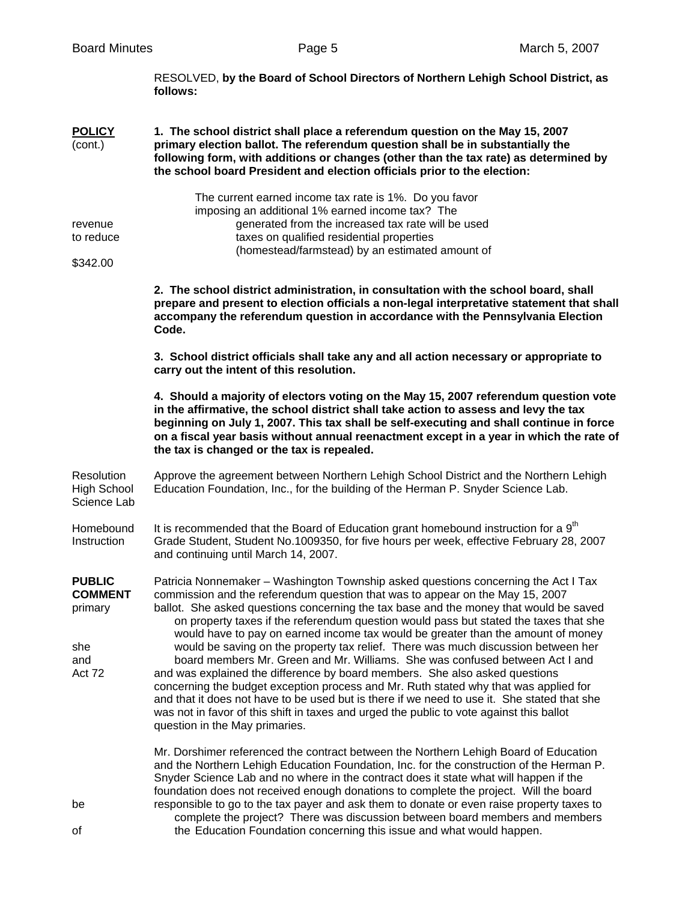|                                                                    | RESOLVED, by the Board of School Directors of Northern Lehigh School District, as<br>follows:                                                                                                                                                                                                                                                                                                                                                                                                                                                                                                                                                                                                                                                                                                                                                                                                                                                                                                                      |
|--------------------------------------------------------------------|--------------------------------------------------------------------------------------------------------------------------------------------------------------------------------------------------------------------------------------------------------------------------------------------------------------------------------------------------------------------------------------------------------------------------------------------------------------------------------------------------------------------------------------------------------------------------------------------------------------------------------------------------------------------------------------------------------------------------------------------------------------------------------------------------------------------------------------------------------------------------------------------------------------------------------------------------------------------------------------------------------------------|
| <b>POLICY</b><br>(cont.)                                           | 1. The school district shall place a referendum question on the May 15, 2007<br>primary election ballot. The referendum question shall be in substantially the<br>following form, with additions or changes (other than the tax rate) as determined by<br>the school board President and election officials prior to the election:                                                                                                                                                                                                                                                                                                                                                                                                                                                                                                                                                                                                                                                                                 |
| revenue<br>to reduce<br>\$342.00                                   | The current earned income tax rate is 1%. Do you favor<br>imposing an additional 1% earned income tax? The<br>generated from the increased tax rate will be used<br>taxes on qualified residential properties<br>(homestead/farmstead) by an estimated amount of                                                                                                                                                                                                                                                                                                                                                                                                                                                                                                                                                                                                                                                                                                                                                   |
|                                                                    | 2. The school district administration, in consultation with the school board, shall<br>prepare and present to election officials a non-legal interpretative statement that shall<br>accompany the referendum question in accordance with the Pennsylvania Election<br>Code.                                                                                                                                                                                                                                                                                                                                                                                                                                                                                                                                                                                                                                                                                                                                        |
|                                                                    | 3. School district officials shall take any and all action necessary or appropriate to<br>carry out the intent of this resolution.                                                                                                                                                                                                                                                                                                                                                                                                                                                                                                                                                                                                                                                                                                                                                                                                                                                                                 |
|                                                                    | 4. Should a majority of electors voting on the May 15, 2007 referendum question vote<br>in the affirmative, the school district shall take action to assess and levy the tax<br>beginning on July 1, 2007. This tax shall be self-executing and shall continue in force<br>on a fiscal year basis without annual reenactment except in a year in which the rate of<br>the tax is changed or the tax is repealed.                                                                                                                                                                                                                                                                                                                                                                                                                                                                                                                                                                                                   |
| <b>Resolution</b><br><b>High School</b><br>Science Lab             | Approve the agreement between Northern Lehigh School District and the Northern Lehigh<br>Education Foundation, Inc., for the building of the Herman P. Snyder Science Lab.                                                                                                                                                                                                                                                                                                                                                                                                                                                                                                                                                                                                                                                                                                                                                                                                                                         |
| Homebound<br>Instruction                                           | It is recommended that the Board of Education grant homebound instruction for a 9 <sup>th</sup><br>Grade Student, Student No.1009350, for five hours per week, effective February 28, 2007<br>and continuing until March 14, 2007.                                                                                                                                                                                                                                                                                                                                                                                                                                                                                                                                                                                                                                                                                                                                                                                 |
| <b>PUBLIC</b><br><b>COMMENT</b><br>primary<br>she<br>and<br>Act 72 | Patricia Nonnemaker - Washington Township asked questions concerning the Act I Tax<br>commission and the referendum question that was to appear on the May 15, 2007<br>ballot. She asked questions concerning the tax base and the money that would be saved<br>on property taxes if the referendum question would pass but stated the taxes that she<br>would have to pay on earned income tax would be greater than the amount of money<br>would be saving on the property tax relief. There was much discussion between her<br>board members Mr. Green and Mr. Williams. She was confused between Act I and<br>and was explained the difference by board members. She also asked questions<br>concerning the budget exception process and Mr. Ruth stated why that was applied for<br>and that it does not have to be used but is there if we need to use it. She stated that she<br>was not in favor of this shift in taxes and urged the public to vote against this ballot<br>question in the May primaries. |
| be<br>οf                                                           | Mr. Dorshimer referenced the contract between the Northern Lehigh Board of Education<br>and the Northern Lehigh Education Foundation, Inc. for the construction of the Herman P.<br>Snyder Science Lab and no where in the contract does it state what will happen if the<br>foundation does not received enough donations to complete the project. Will the board<br>responsible to go to the tax payer and ask them to donate or even raise property taxes to<br>complete the project? There was discussion between board members and members<br>the Education Foundation concerning this issue and what would happen.                                                                                                                                                                                                                                                                                                                                                                                           |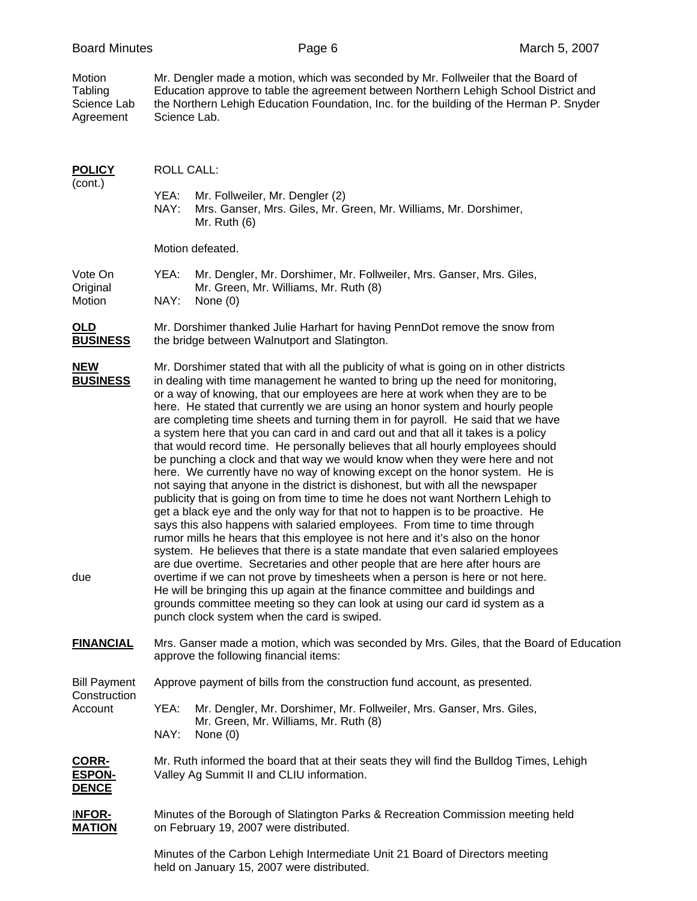|  | <b>Board Minutes</b> |
|--|----------------------|
|--|----------------------|

Motion Mr. Dengler made a motion, which was seconded by Mr. Follweiler that the Board of Tabling Education approve to table the agreement between Northern Lehigh School District and Science Lab the Northern Lehigh Education Foundation, Inc. for the building of the Herman P. Snyder Agreement Science Lab.

| <b>POLICY</b><br>(cont.)                      | <b>ROLL CALL:</b>                                                                                                                                                                                                                                                                                                                                                                                                                                                                                                                                                                                                                                                                                                                                                                                                                                                                                                                                                                                                                                                                                                                                                                                                                                                                                                                                                                                                                                                                                                                                                                                                                                            |  |  |  |
|-----------------------------------------------|--------------------------------------------------------------------------------------------------------------------------------------------------------------------------------------------------------------------------------------------------------------------------------------------------------------------------------------------------------------------------------------------------------------------------------------------------------------------------------------------------------------------------------------------------------------------------------------------------------------------------------------------------------------------------------------------------------------------------------------------------------------------------------------------------------------------------------------------------------------------------------------------------------------------------------------------------------------------------------------------------------------------------------------------------------------------------------------------------------------------------------------------------------------------------------------------------------------------------------------------------------------------------------------------------------------------------------------------------------------------------------------------------------------------------------------------------------------------------------------------------------------------------------------------------------------------------------------------------------------------------------------------------------------|--|--|--|
|                                               | YEA:<br>Mr. Follweiler, Mr. Dengler (2)<br>NAY:<br>Mrs. Ganser, Mrs. Giles, Mr. Green, Mr. Williams, Mr. Dorshimer,<br>Mr. Ruth $(6)$                                                                                                                                                                                                                                                                                                                                                                                                                                                                                                                                                                                                                                                                                                                                                                                                                                                                                                                                                                                                                                                                                                                                                                                                                                                                                                                                                                                                                                                                                                                        |  |  |  |
|                                               | Motion defeated.                                                                                                                                                                                                                                                                                                                                                                                                                                                                                                                                                                                                                                                                                                                                                                                                                                                                                                                                                                                                                                                                                                                                                                                                                                                                                                                                                                                                                                                                                                                                                                                                                                             |  |  |  |
| Vote On<br>Original<br>Motion                 | YEA:<br>Mr. Dengler, Mr. Dorshimer, Mr. Follweiler, Mrs. Ganser, Mrs. Giles,<br>Mr. Green, Mr. Williams, Mr. Ruth (8)<br>NAY:<br>None $(0)$                                                                                                                                                                                                                                                                                                                                                                                                                                                                                                                                                                                                                                                                                                                                                                                                                                                                                                                                                                                                                                                                                                                                                                                                                                                                                                                                                                                                                                                                                                                  |  |  |  |
| <u>OLD</u><br><u>BUSINESS</u>                 | Mr. Dorshimer thanked Julie Harhart for having PennDot remove the snow from<br>the bridge between Walnutport and Slatington.                                                                                                                                                                                                                                                                                                                                                                                                                                                                                                                                                                                                                                                                                                                                                                                                                                                                                                                                                                                                                                                                                                                                                                                                                                                                                                                                                                                                                                                                                                                                 |  |  |  |
| <u>NEW</u><br><b>BUSINESS</b><br>due          | Mr. Dorshimer stated that with all the publicity of what is going on in other districts<br>in dealing with time management he wanted to bring up the need for monitoring,<br>or a way of knowing, that our employees are here at work when they are to be<br>here. He stated that currently we are using an honor system and hourly people<br>are completing time sheets and turning them in for payroll. He said that we have<br>a system here that you can card in and card out and that all it takes is a policy<br>that would record time. He personally believes that all hourly employees should<br>be punching a clock and that way we would know when they were here and not<br>here. We currently have no way of knowing except on the honor system. He is<br>not saying that anyone in the district is dishonest, but with all the newspaper<br>publicity that is going on from time to time he does not want Northern Lehigh to<br>get a black eye and the only way for that not to happen is to be proactive. He<br>says this also happens with salaried employees. From time to time through<br>rumor mills he hears that this employee is not here and it's also on the honor<br>system. He believes that there is a state mandate that even salaried employees<br>are due overtime. Secretaries and other people that are here after hours are<br>overtime if we can not prove by timesheets when a person is here or not here.<br>He will be bringing this up again at the finance committee and buildings and<br>grounds committee meeting so they can look at using our card id system as a<br>punch clock system when the card is swiped. |  |  |  |
| <b>FINANCIAL</b>                              | Mrs. Ganser made a motion, which was seconded by Mrs. Giles, that the Board of Education<br>approve the following financial items:                                                                                                                                                                                                                                                                                                                                                                                                                                                                                                                                                                                                                                                                                                                                                                                                                                                                                                                                                                                                                                                                                                                                                                                                                                                                                                                                                                                                                                                                                                                           |  |  |  |
| <b>Bill Payment</b><br>Construction           | Approve payment of bills from the construction fund account, as presented.                                                                                                                                                                                                                                                                                                                                                                                                                                                                                                                                                                                                                                                                                                                                                                                                                                                                                                                                                                                                                                                                                                                                                                                                                                                                                                                                                                                                                                                                                                                                                                                   |  |  |  |
| Account                                       | YEA:<br>Mr. Dengler, Mr. Dorshimer, Mr. Follweiler, Mrs. Ganser, Mrs. Giles,<br>Mr. Green, Mr. Williams, Mr. Ruth (8)<br>NAY:<br>None $(0)$                                                                                                                                                                                                                                                                                                                                                                                                                                                                                                                                                                                                                                                                                                                                                                                                                                                                                                                                                                                                                                                                                                                                                                                                                                                                                                                                                                                                                                                                                                                  |  |  |  |
| <u>CORR-</u><br><u>ESPON-</u><br><u>DENCE</u> | Mr. Ruth informed the board that at their seats they will find the Bulldog Times, Lehigh<br>Valley Ag Summit II and CLIU information.                                                                                                                                                                                                                                                                                                                                                                                                                                                                                                                                                                                                                                                                                                                                                                                                                                                                                                                                                                                                                                                                                                                                                                                                                                                                                                                                                                                                                                                                                                                        |  |  |  |
| <u> INFOR-</u><br><u>MATION</u>               | Minutes of the Borough of Slatington Parks & Recreation Commission meeting held<br>on February 19, 2007 were distributed.                                                                                                                                                                                                                                                                                                                                                                                                                                                                                                                                                                                                                                                                                                                                                                                                                                                                                                                                                                                                                                                                                                                                                                                                                                                                                                                                                                                                                                                                                                                                    |  |  |  |

 Minutes of the Carbon Lehigh Intermediate Unit 21 Board of Directors meeting held on January 15, 2007 were distributed.